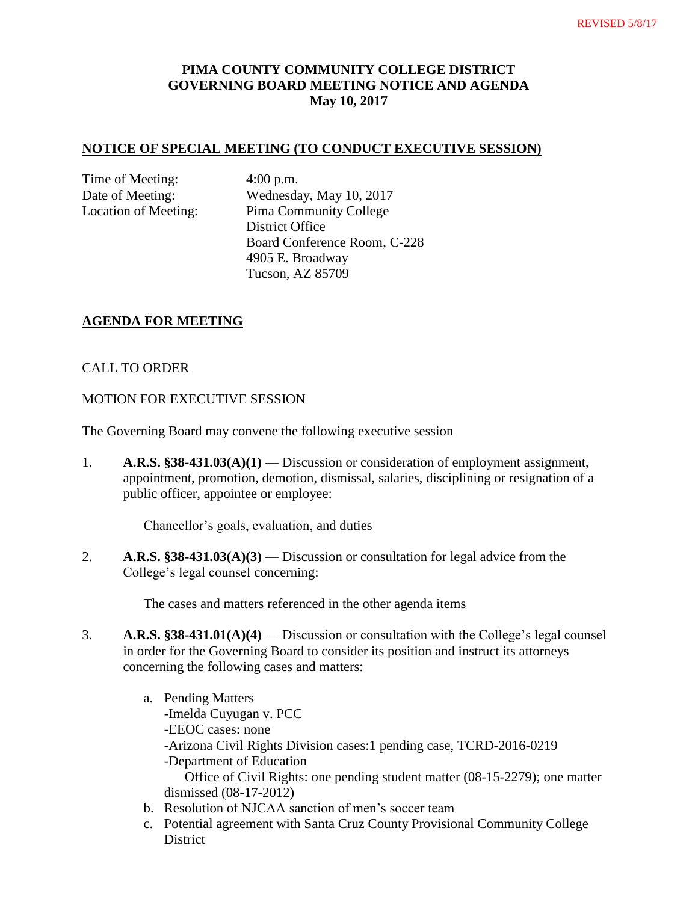## **PIMA COUNTY COMMUNITY COLLEGE DISTRICT GOVERNING BOARD MEETING NOTICE AND AGENDA May 10, 2017**

### **NOTICE OF SPECIAL MEETING (TO CONDUCT EXECUTIVE SESSION)**

Time of Meeting: 4:00 p.m.

Date of Meeting: Wednesday, May 10, 2017 Location of Meeting: Pima Community College District Office Board Conference Room, C-228 4905 E. Broadway Tucson, AZ 85709

### **AGENDA FOR MEETING**

### CALL TO ORDER

#### MOTION FOR EXECUTIVE SESSION

The Governing Board may convene the following executive session

1. **A.R.S. §38-431.03(A)(1)** — Discussion or consideration of employment assignment, appointment, promotion, demotion, dismissal, salaries, disciplining or resignation of a public officer, appointee or employee:

Chancellor's goals, evaluation, and duties

2. **A.R.S. §38-431.03(A)(3)** — Discussion or consultation for legal advice from the College's legal counsel concerning:

The cases and matters referenced in the other agenda items

- 3. **A.R.S. §38-431.01(A)(4)** Discussion or consultation with the College's legal counsel in order for the Governing Board to consider its position and instruct its attorneys concerning the following cases and matters:
	- a. Pending Matters -Imelda Cuyugan v. PCC -EEOC cases: none -Arizona Civil Rights Division cases:1 pending case, TCRD-2016-0219 -Department of Education Office of Civil Rights: one pending student matter (08-15-2279); one matter dismissed (08-17-2012)
	- b. Resolution of NJCAA sanction of men's soccer team
	- c. Potential agreement with Santa Cruz County Provisional Community College District